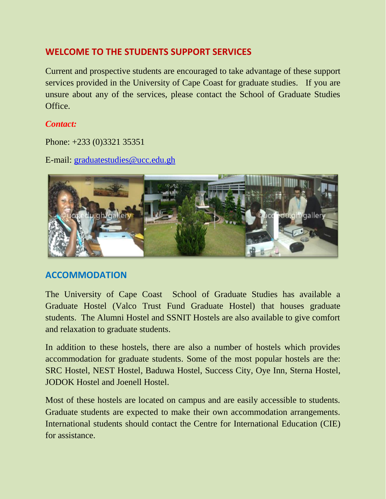# **WELCOME TO THE STUDENTS SUPPORT SERVICES**

Current and prospective students are encouraged to take advantage of these support services provided in the University of Cape Coast for graduate studies. If you are unsure about any of the services, please contact the School of Graduate Studies Office.

### *Contact:*

Phone: +233 (0)3321 35351

E-mail: [graduatestudies@ucc.edu.gh](mailto:graduatestudies@ucc.edu.gh)



# **ACCOMMODATION**

The University of Cape Coast School of Graduate Studies has available a Graduate Hostel (Valco Trust Fund Graduate Hostel) that houses graduate students. The Alumni Hostel and SSNIT Hostels are also available to give comfort and relaxation to graduate students.

In addition to these hostels, there are also a number of hostels which provides accommodation for graduate students. Some of the most popular hostels are the: SRC Hostel, NEST Hostel, Baduwa Hostel, Success City, Oye Inn, Sterna Hostel, JODOK Hostel and Joenell Hostel.

Most of these hostels are located on campus and are easily accessible to students. Graduate students are expected to make their own accommodation arrangements. International students should contact the Centre for International Education (CIE) for assistance.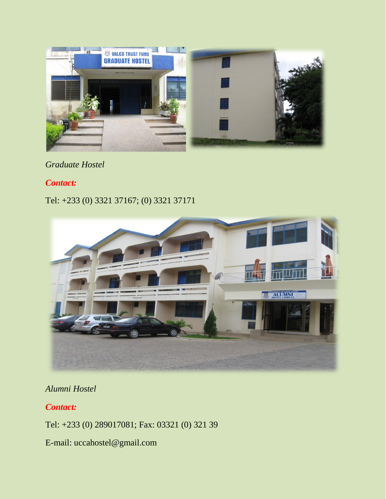

### *Graduate Hostel*

### *Contact:*

# Tel: +233 (0) 3321 37167; (0) 3321 37171



# *Alumni Hostel*

### *Contact:*

Tel: +233 (0) 289017081; Fax: 03321 (0) 321 39

E-mail: uccahostel@gmail.com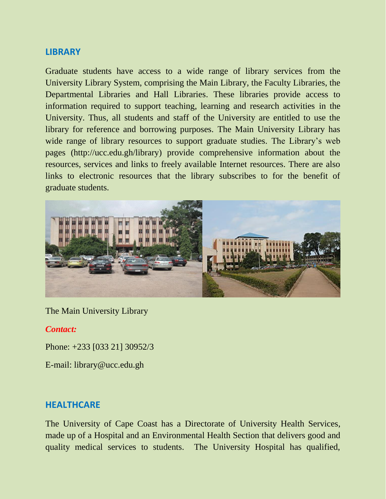#### **LIBRARY**

Graduate students have access to a wide range of library services from the University Library System, comprising the Main Library, the Faculty Libraries, the Departmental Libraries and Hall Libraries. These libraries provide access to information required to support teaching, learning and research activities in the University. Thus, all students and staff of the University are entitled to use the library for reference and borrowing purposes. The Main University Library has wide range of library resources to support graduate studies. The Library's web pages [\(http://ucc.edu.gh/library\)](http://ucc.edu.gh/library/) provide comprehensive information about the resources, services and links to freely available Internet resources. There are also links to electronic resources that the library subscribes to for the benefit of graduate students.



The Main University Library

#### *Contact:*

Phone: +233 [033 21] 30952/3

E-mail: library@ucc.edu.gh

#### **HEALTHCARE**

The University of Cape Coast has a Directorate of University Health Services, made up of a Hospital and an Environmental Health Section that delivers good and quality medical services to students. The University Hospital has qualified,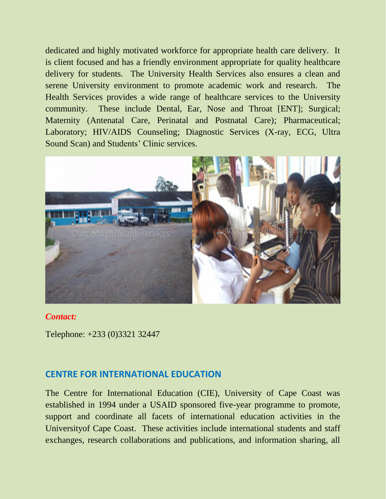dedicated and highly motivated workforce for appropriate health care delivery. It is client focused and has a friendly environment appropriate for quality healthcare delivery for students. The University Health Services also ensures a clean and serene University environment to promote academic work and research. The Health Services provides a wide range of healthcare services to the University community. These include Dental, Ear, Nose and Throat [ENT]; Surgical; Maternity (Antenatal Care, Perinatal and Postnatal Care); Pharmaceutical; Laboratory; HIV/AIDS Counseling; Diagnostic Services (X-ray, ECG, Ultra Sound Scan) and Students' Clinic services.



#### *Contact:*

Telephone: +233 (0)3321 32447

### **CENTRE FOR INTERNATIONAL EDUCATION**

The Centre for International Education (CIE), University of Cape Coast was established in 1994 under a USAID sponsored five-year programme to promote, support and coordinate all facets of international education activities in the Universityof Cape Coast. These activities include international students and staff exchanges, research collaborations and publications, and information sharing, all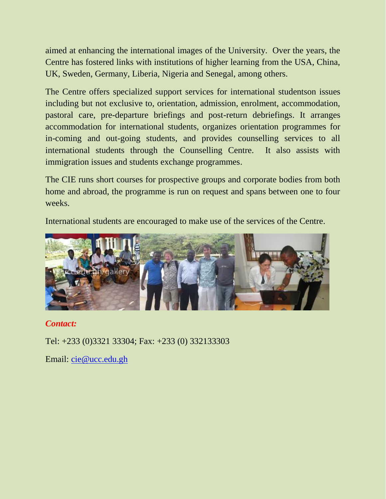aimed at enhancing the international images of the University. Over the years, the Centre has fostered links with institutions of higher learning from the USA, China, UK, Sweden, Germany, Liberia, Nigeria and Senegal, among others.

The Centre offers specialized support services for international studentson issues including but not exclusive to, orientation, admission, enrolment, accommodation, pastoral care, pre-departure briefings and post-return debriefings. It arranges accommodation for international students, organizes orientation programmes for in-coming and out-going students, and provides counselling services to all international students through the Counselling Centre. It also assists with immigration issues and students exchange programmes.

The CIE runs short courses for prospective groups and corporate bodies from both home and abroad, the programme is run on request and spans between one to four weeks.

International students are encouraged to make use of the services of the Centre.



# *Contact:*

Tel: +233 (0)3321 33304; Fax: +233 (0) 332133303

Email: [cie@ucc.edu.gh](mailto:cie@ucc.edu.gh)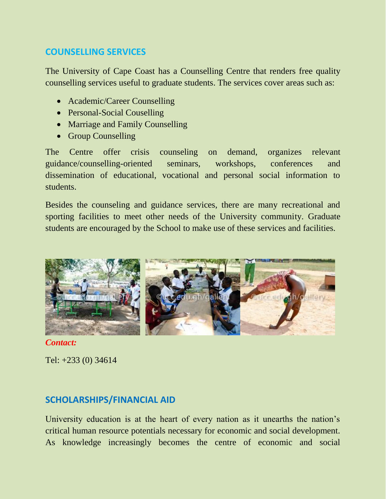### **COUNSELLING SERVICES**

The University of Cape Coast has a Counselling Centre that renders free quality counselling services useful to graduate students. The services cover areas such as:

- Academic/Career Counselling
- Personal-Social Couselling
- Marriage and Family Counselling
- Group Counselling

The Centre offer crisis counseling on demand, organizes relevant guidance/counselling-oriented seminars, workshops, conferences and dissemination of educational, vocational and personal social information to students.

Besides the counseling and guidance services, there are many recreational and sporting facilities to meet other needs of the University community. Graduate students are encouraged by the School to make use of these services and facilities.



*Contact:*

Tel: +233 (0) 34614

# **SCHOLARSHIPS/FINANCIAL AID**

University education is at the heart of every nation as it unearths the nation's critical human resource potentials necessary for economic and social development. As knowledge increasingly becomes the centre of economic and social